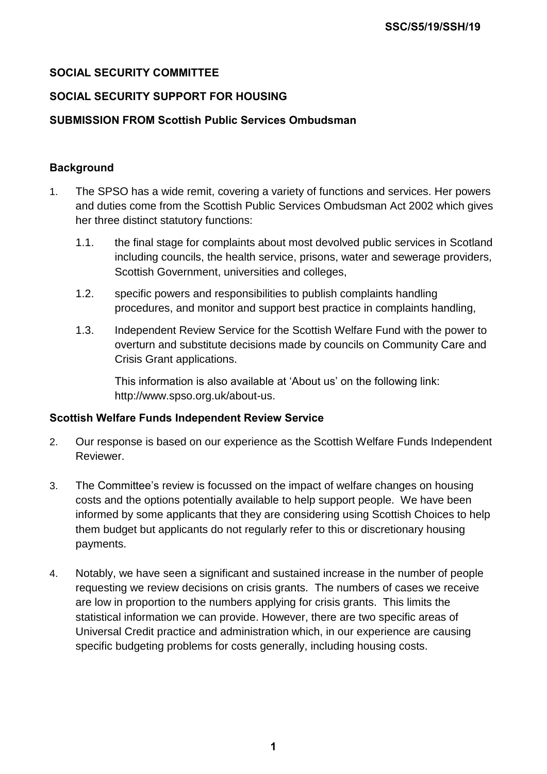# **SOCIAL SECURITY COMMITTEE**

# **SOCIAL SECURITY SUPPORT FOR HOUSING**

# **SUBMISSION FROM Scottish Public Services Ombudsman**

# **Background**

- 1. The SPSO has a wide remit, covering a variety of functions and services. Her powers and duties come from the Scottish Public Services Ombudsman Act 2002 which gives her three distinct statutory functions:
	- 1.1. the final stage for complaints about most devolved public services in Scotland including councils, the health service, prisons, water and sewerage providers, Scottish Government, universities and colleges,
	- 1.2. specific powers and responsibilities to publish complaints handling procedures, and monitor and support best practice in complaints handling,
	- 1.3. Independent Review Service for the Scottish Welfare Fund with the power to overturn and substitute decisions made by councils on Community Care and Crisis Grant applications.

This information is also available at 'About us' on the following link: http://www.spso.org.uk/about-us.

### **Scottish Welfare Funds Independent Review Service**

- 2. Our response is based on our experience as the Scottish Welfare Funds Independent Reviewer.
- 3. The Committee's review is focussed on the impact of welfare changes on housing costs and the options potentially available to help support people. We have been informed by some applicants that they are considering using Scottish Choices to help them budget but applicants do not regularly refer to this or discretionary housing payments.
- 4. Notably, we have seen a significant and sustained increase in the number of people requesting we review decisions on crisis grants. The numbers of cases we receive are low in proportion to the numbers applying for crisis grants. This limits the statistical information we can provide. However, there are two specific areas of Universal Credit practice and administration which, in our experience are causing specific budgeting problems for costs generally, including housing costs.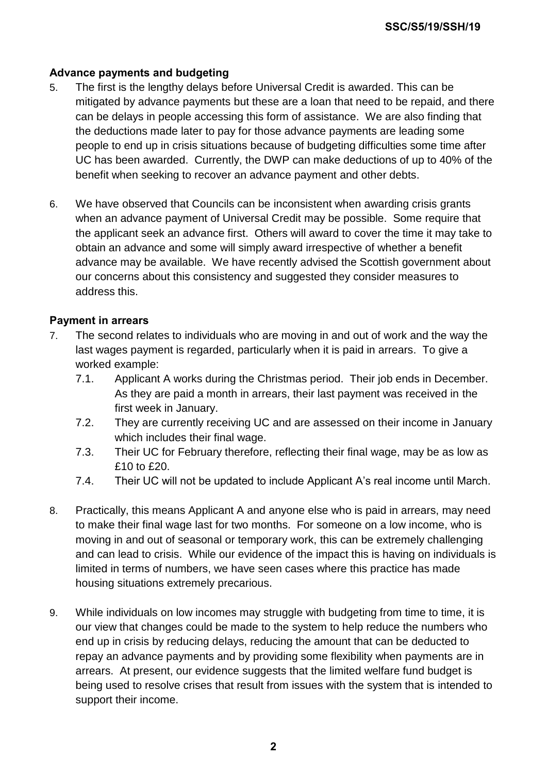# **Advance payments and budgeting**

- 5. The first is the lengthy delays before Universal Credit is awarded. This can be mitigated by advance payments but these are a loan that need to be repaid, and there can be delays in people accessing this form of assistance. We are also finding that the deductions made later to pay for those advance payments are leading some people to end up in crisis situations because of budgeting difficulties some time after UC has been awarded. Currently, the DWP can make deductions of up to 40% of the benefit when seeking to recover an advance payment and other debts.
- 6. We have observed that Councils can be inconsistent when awarding crisis grants when an advance payment of Universal Credit may be possible. Some require that the applicant seek an advance first. Others will award to cover the time it may take to obtain an advance and some will simply award irrespective of whether a benefit advance may be available. We have recently advised the Scottish government about our concerns about this consistency and suggested they consider measures to address this.

### **Payment in arrears**

- 7. The second relates to individuals who are moving in and out of work and the way the last wages payment is regarded, particularly when it is paid in arrears. To give a worked example:
	- 7.1. Applicant A works during the Christmas period. Their job ends in December. As they are paid a month in arrears, their last payment was received in the first week in January.
	- 7.2. They are currently receiving UC and are assessed on their income in January which includes their final wage.
	- 7.3. Their UC for February therefore, reflecting their final wage, may be as low as £10 to £20.
	- 7.4. Their UC will not be updated to include Applicant A's real income until March.
- 8. Practically, this means Applicant A and anyone else who is paid in arrears, may need to make their final wage last for two months. For someone on a low income, who is moving in and out of seasonal or temporary work, this can be extremely challenging and can lead to crisis. While our evidence of the impact this is having on individuals is limited in terms of numbers, we have seen cases where this practice has made housing situations extremely precarious.
- 9. While individuals on low incomes may struggle with budgeting from time to time, it is our view that changes could be made to the system to help reduce the numbers who end up in crisis by reducing delays, reducing the amount that can be deducted to repay an advance payments and by providing some flexibility when payments are in arrears. At present, our evidence suggests that the limited welfare fund budget is being used to resolve crises that result from issues with the system that is intended to support their income.